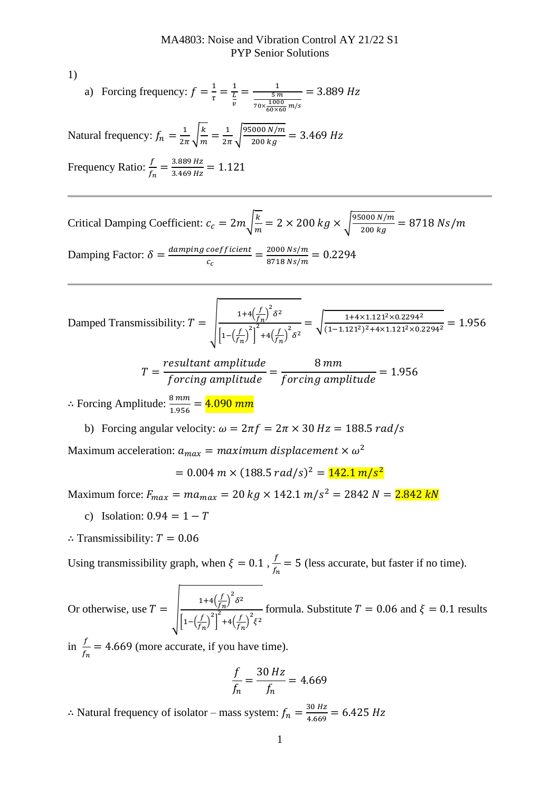1)

a) Forcing frequency: 
$$
f = \frac{1}{\tau} = \frac{1}{\frac{L}{v}} = \frac{1}{\frac{5m}{70 \times \frac{1000}{60 \times 60} m/s}} = 3.889 Hz
$$

Natural frequency:  $f_n = \frac{1}{2i}$  $rac{1}{2\pi}\sqrt{\frac{k}{m}}$  $\frac{k}{m} = \frac{1}{2n}$  $\frac{1}{2\pi} \sqrt{\frac{95000 \text{ N/m}}{200 \text{ kg}}}$  $\frac{1000 \text{ N/m}}{200 \text{ kg}} = 3.469 \text{ Hz}$ 

Frequency Ratio:  $\frac{f}{f_n} = \frac{3.889 \text{ Hz}}{3.469 \text{ Hz}}$  $\frac{3.889 \text{ Hz}}{3.469 \text{ Hz}} = 1.121$ 

Critical Damping Coefficient:  $c_c = 2m \sqrt{\frac{k}{m}}$  $\frac{k}{m}$  = 2 × 200 kg ×  $\sqrt{\frac{95000 N/m}{200 kg}}$  $\frac{1000 \text{ N/m}}{200 \text{ kg}} = 8718 \text{ Ns/m}$ Damping Factor:  $\delta = \frac{damping\ coefficient}{d}$  $\frac{coefficient}{c_c} = \frac{2000 \text{ Ns/m}}{8718 \text{ Ns/m}}$  $\frac{2000 \text{ Ns/m}}{8718 \text{ Ns/m}} = 0.2294$ 

Damped Transmissibility: 
$$
T = \sqrt{\frac{1+4\left(\frac{f}{f_n}\right)^2 \delta^2}{\left[1-\left(\frac{f}{f_n}\right)^2\right]^2 + 4\left(\frac{f}{f_n}\right)^2 \delta^2}} = \sqrt{\frac{1+4 \times 1.121^2 \times 0.2294^2}{(1-1.121^2)^2 + 4 \times 1.121^2 \times 0.2294^2}} = 1.956
$$

$$
T = \frac{resultant amplitude}{forcing amplitude} = \frac{8 \, mm}{forcing amplitude} = 1.956
$$

∴ Forcing Amplitude:  $\frac{8 \, mm}{1.956} = 4.090 \, mm$ 

b) Forcing angular velocity:  $\omega = 2\pi f = 2\pi \times 30 Hz = 188.5 rad/s$ 

Maximum acceleration:  $a_{max} = maximum\ displacement \times \omega^2$ 

 $= 0.004$  m  $\times$   $(188.5$  rad/s $)^2 = 142.1$  m/s<sup>2</sup>

Maximum force:  $F_{max} = ma_{max} = 20 \ kg \times 142.1 \ m/s^2 = 2842 \ N = 2.842 \ kN$ 

- c) Isolation:  $0.94 = 1 T$
- ∴ Transmissibility:  $T = 0.06$

Using transmissibility graph, when  $\xi = 0.1$ ,  $\frac{f}{f}$  $\frac{f}{f_n}$  = 5 (less accurate, but faster if no time).

Or otherwise, use  $T = \begin{bmatrix} 1+4\left(\frac{f}{f}\right)^2\\ \frac{1}{2} & \frac{3}{2}a & \frac{3}{2}a^2\end{bmatrix}^2$  $\left(\frac{f}{f_n}\right)^2 \delta^2$  $\left|1-\left(\frac{f}{\epsilon}\right)\right|$  $\left[\frac{f}{f_n}\right)^2$ 2  $+4\left(\frac{f}{f}\right)$  $\left(\frac{f}{f_n}\right)^2 \xi^2$ formula. Substitute  $T = 0.06$  and  $\xi = 0.1$  results

in  $\frac{f}{f_n}$  = 4.669 (more accurate, if you have time).

$$
\frac{f}{f_n} = \frac{30 \, Hz}{f_n} = 4.669
$$

∴ Natural frequency of isolator – mass system:  $f_n = \frac{30 Hz}{4.669}$  $\frac{30 \text{ Hz}}{4.669} = 6.425 \text{ Hz}$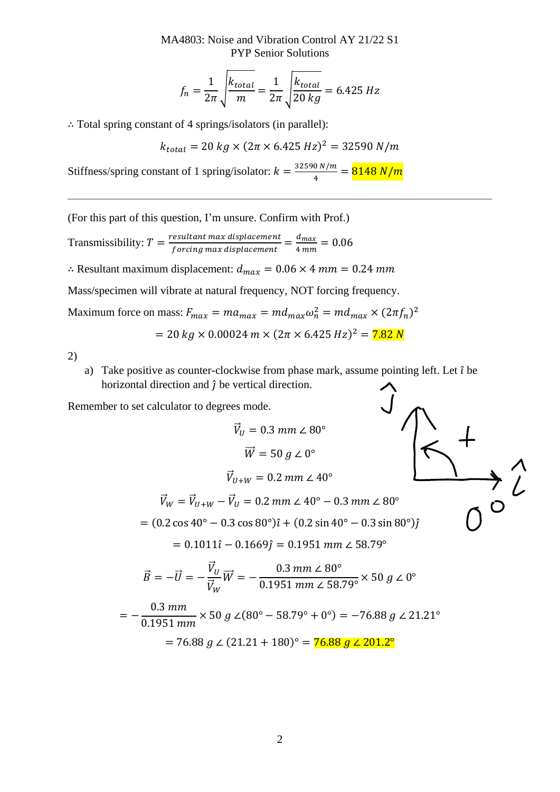MA4803: Noise and Vibration Control AY 21/22 S1 PYP Senior Solutions

$$
f_n = \frac{1}{2\pi} \sqrt{\frac{k_{total}}{m}} = \frac{1}{2\pi} \sqrt{\frac{k_{total}}{20 \text{ kg}}} = 6.425 \text{ Hz}
$$

∴ Total spring constant of 4 springs/isolators (in parallel):

$$
k_{total} = 20 \; kg \times (2\pi \times 6.425 \; Hz)^2 = 32590 \; N/m
$$

Stiffness/spring constant of 1 spring/isolator:  $k = \frac{32590 N/m}{4}$  $\frac{10 N/m}{4} = \frac{8148 N/m}{m}$ 

(For this part of this question, I'm unsure. Confirm with Prof.)

Transmissibility:  $T = \frac{resultant max displacement}{formula max displacement}$  $\frac{1}{1}$ esultant max displacement $\frac{1}{1} = \frac{d_{max}}{4\,mm}$  $\frac{u_{max}}{4\,mm} = 0.06$ 

∴ Resultant maximum displacement:  $d_{max} = 0.06 \times 4$  mm = 0.24 mm

Mass/specimen will vibrate at natural frequency, NOT forcing frequency.

Maximum force on mass:  $F_{max} = ma_{max} = md_{max}\omega_n^2 = md_{max} \times (2\pi f_n)^2$  $= 20 kg \times 0.00024 m \times (2\pi \times 6.425 Hz)^2 = 7.82 N$ 

2)

a) Take positive as counter-clockwise from phase mark, assume pointing left. Let  $\hat{\imath}$  be horizontal direction and  $\hat{j}$  be vertical direction.  $\hat{J}$ 

Remember to set calculator to degrees mode.

0.1951 mm

$$
\vec{V}_U = 0.3 \, mm \, \angle \, 80^\circ
$$
\n
$$
\vec{W} = 50 \, g \, \angle \, 0^\circ
$$
\n
$$
\vec{V}_{U+W} = 0.2 \, mm \, \angle \, 40^\circ
$$
\n
$$
\vec{V}_W = \vec{V}_{U+W} - \vec{V}_U = 0.2 \, mm \, \angle \, 40^\circ - 0.3 \, mm \, \angle \, 80^\circ
$$
\n
$$
= (0.2 \cos 40^\circ - 0.3 \cos 80^\circ) \hat{i} + (0.2 \sin 40^\circ - 0.3 \sin 80^\circ) \hat{j}
$$
\n
$$
= 0.1011 \hat{i} - 0.1669 \hat{j} = 0.1951 \, mm \, \angle \, 58.79^\circ
$$
\n
$$
\vec{B} = -\vec{U} = -\frac{\vec{V}_U}{\vec{V}_W} \vec{W} = -\frac{0.3 \, mm \, \angle \, 80^\circ}{0.1951 \, mm \, \angle \, 58.79^\circ} \times 50 \, g \, \angle \, 0^\circ
$$
\n
$$
= -\frac{0.3 \, mm}{0.1951 \, mm \, \angle \, 58.79^\circ} \times 50 \, g \, \angle \, (20^\circ - 58.79^\circ + 0^\circ) = -76.88 \, g \, \angle \, 21.21^\circ
$$

$$
= 76.88 g \angle (21.21 + 180)^{\circ} = 76.88 g \angle 201.2^{\circ}
$$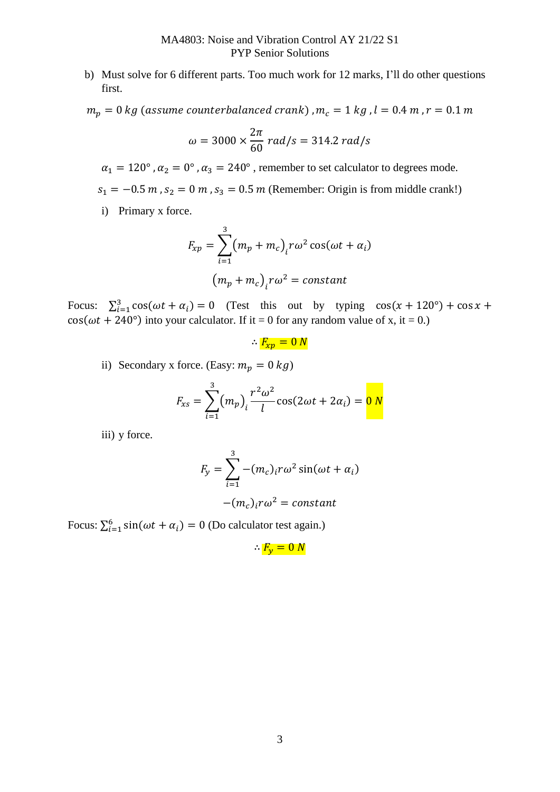b) Must solve for 6 different parts. Too much work for 12 marks, I'll do other questions first.

 $m_p = 0$  kg (assume counterbalanced crank),  $m_c = 1$  kg,  $l = 0.4$  m,  $r = 0.1$  m

$$
\omega = 3000 \times \frac{2\pi}{60} rad/s = 314.2 rad/s
$$

 $\alpha_1 = 120^\circ$ ,  $\alpha_2 = 0^\circ$ ,  $\alpha_3 = 240^\circ$ , remember to set calculator to degrees mode.

 $s_1 = -0.5$  m,  $s_2 = 0$  m,  $s_3 = 0.5$  m (Remember: Origin is from middle crank!)

i) Primary x force.

$$
F_{xp} = \sum_{i=1}^{3} (m_p + m_c)_i r \omega^2 \cos(\omega t + \alpha_i)
$$

$$
(m_p + m_c)_i r \omega^2 = constant
$$

Focus:  $\sum_{i=1}^{3} \cos(\omega t + \alpha_i) = 0$  (Test this out by typing  $\cos(x + 120^\circ) + \cos x +$  $cos(\omega t + 240^{\circ})$  into your calculator. If it = 0 for any random value of x, it = 0.)

 $\therefore F_{xp} = 0 N$ 

ii) Secondary x force. (Easy:  $m_p = 0$  kg)

$$
F_{xs} = \sum_{i=1}^{3} (m_p)_i \frac{r^2 \omega^2}{l} \cos(2\omega t + 2\alpha_i) = 0
$$

iii) y force.

$$
F_y = \sum_{i=1}^{3} -(m_c)_i r \omega^2 \sin(\omega t + \alpha_i)
$$

$$
-(m_c)_i r \omega^2 = constant
$$

Focus:  $\sum_{i=1}^{6} \sin(\omega t + \alpha_i) = 0$  (Do calculator test again.)

 $\therefore F_v = 0 N$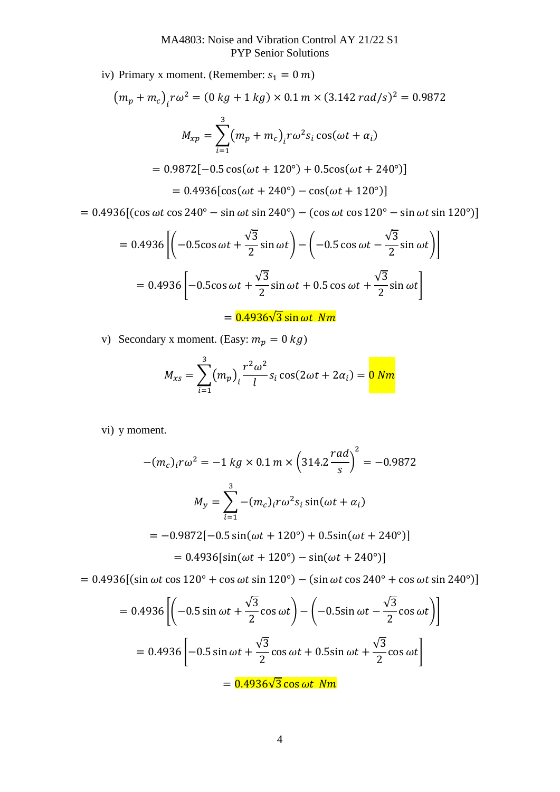iv) Primary x moment. (Remember:  $s_1 = 0$  m)

$$
(m_p + m_c)_i r \omega^2 = (0 kg + 1 kg) \times 0.1 m \times (3.142 rad/s)^2 = 0.9872
$$
  

$$
M_{xp} = \sum_{i=1}^3 (m_p + m_c)_i r \omega^2 s_i \cos(\omega t + \alpha_i)
$$
  

$$
= 0.9872[-0.5 \cos(\omega t + 120^\circ) + 0.5 \cos(\omega t + 240^\circ)]
$$
  

$$
= 0.4936[\cos(\omega t + 240^\circ) - \cos(\omega t + 120^\circ)]
$$

 $= 0.4936[(\cos \omega t \cos 240^\circ - \sin \omega t \sin 240^\circ) - (\cos \omega t \cos 120^\circ - \sin \omega t \sin 120^\circ)]$ 

$$
= 0.4936 \left[ \left( -0.5\cos\omega t + \frac{\sqrt{3}}{2}\sin\omega t \right) - \left( -0.5\cos\omega t - \frac{\sqrt{3}}{2}\sin\omega t \right) \right]
$$

$$
= 0.4936 \left[ -0.5\cos\omega t + \frac{\sqrt{3}}{2}\sin\omega t + 0.5\cos\omega t + \frac{\sqrt{3}}{2}\sin\omega t \right]
$$

 $= 0.4936\sqrt{3} \sin \omega t$  Nm

v) Secondary x moment. (Easy:  $m_p = 0 kg$ )

$$
M_{xs} = \sum_{i=1}^{3} (m_p)_i \frac{r^2 \omega^2}{l} s_i \cos(2\omega t + 2\alpha_i) = 0
$$

vi) y moment.

$$
-(m_c)_i r \omega^2 = -1 kg \times 0.1 m \times \left(314.2 \frac{rad}{s}\right)^2 = -0.9872
$$
  

$$
M_y = \sum_{i=1}^3 -(m_c)_i r \omega^2 s_i \sin(\omega t + \alpha_i)
$$
  

$$
= -0.9872[-0.5 \sin(\omega t + 120^\circ) + 0.5 \sin(\omega t + 240^\circ)]
$$
  

$$
= 0.4936[\sin(\omega t + 120^\circ) - \sin(\omega t + 240^\circ)]
$$

 $= 0.4936[(\sin \omega t \cos 120^\circ + \cos \omega t \sin 120^\circ) - (\sin \omega t \cos 240^\circ + \cos \omega t \sin 240^\circ)]$ 

$$
= 0.4936 \left[ \left( -0.5 \sin \omega t + \frac{\sqrt{3}}{2} \cos \omega t \right) - \left( -0.5 \sin \omega t - \frac{\sqrt{3}}{2} \cos \omega t \right) \right]
$$

$$
= 0.4936 \left[ -0.5 \sin \omega t + \frac{\sqrt{3}}{2} \cos \omega t + 0.5 \sin \omega t + \frac{\sqrt{3}}{2} \cos \omega t \right]
$$

$$
= 0.4936 \sqrt{3} \cos \omega t \text{ Nm}
$$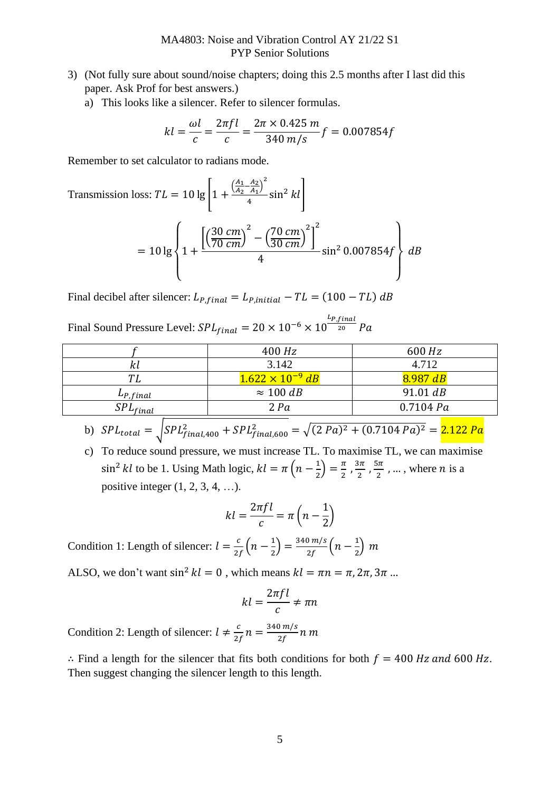- 3) (Not fully sure about sound/noise chapters; doing this 2.5 months after I last did this paper. Ask Prof for best answers.)
	- a) This looks like a silencer. Refer to silencer formulas.

$$
kl = \frac{\omega l}{c} = \frac{2\pi fl}{c} = \frac{2\pi \times 0.425 \, m}{340 \, m/s} f = 0.007854 f
$$

Remember to set calculator to radians mode.

Transmission loss: 
$$
TL = 10 \lg \left[ 1 + \frac{\left( \frac{A_1 - A_2}{A_2 - A_1} \right)^2}{4} \sin^2 kl \right]
$$

\n
$$
= 10 \lg \left\{ 1 + \frac{\left[ \left( \frac{30 \text{ cm}}{70 \text{ cm}} \right)^2 - \left( \frac{70 \text{ cm}}{30 \text{ cm}} \right)^2 \right]^2}{4} \sin^2 0.007854 f \right\} dB
$$

Final decibel after silencer:  $L_{P, final} = L_{P, initial} - TL = (100 - TL) dB$ 

Final Sound Pressure Level:  $SPL_{final} = 20 \times 10^{-6} \times 10^{\frac{L_{P,final}}{20}}$  $\frac{20}{20}$  Pa

|               | 400 Hz                    | 600 Hz    |
|---------------|---------------------------|-----------|
| κι            | 3.142                     | 4.712     |
| TΙ            | $1.622 \times 10^{-9}$ dB | 8.987 dB  |
| $L_{P,final}$ | $\approx 100$ dB          | 91.01 dB  |
| $SPL_{final}$ | 2 Pa                      | 0.7104 Pa |

- b)  $SPL_{total} = \sqrt{SPL_{final,400}^2 + SPL_{final,600}^2} = \sqrt{(2 Pa)^2 + (0.7104 Pa)^2} = 2.122 Pa$
- c) To reduce sound pressure, we must increase TL. To maximise TL, we can maximise  $\sin^2 kl$  to be 1. Using Math logic,  $kl = \pi \left( n - \frac{1}{2} \right)$  $\frac{1}{2}$  =  $\frac{\pi}{2}$  $\frac{\pi}{2}$ ,  $\frac{3\pi}{2}$  $\frac{3\pi}{2}$ ,  $\frac{5\pi}{2}$  $\frac{3\pi}{2}$ , ..., where *n* is a positive integer  $(1, 2, 3, 4, \ldots)$ .

$$
kl = \frac{2\pi fl}{c} = \pi \left( n - \frac{1}{2} \right)
$$

Condition 1: Length of silencer:  $l = \frac{c}{2}$  $\frac{c}{2f}\left(n-\frac{1}{2}\right)$  $\left(\frac{1}{2}\right) = \frac{340 \text{ m/s}}{2f}$  $\frac{0 \text{ m/s}}{2f}\Big(n-\frac{1}{2}\Big)$  $\frac{1}{2}$  m

ALSO, we don't want  $\sin^2 kl = 0$ , which means  $kl = \pi n = \pi, 2\pi, 3\pi$ ...

$$
kl = \frac{2\pi fl}{c} \neq \pi n
$$

Condition 2: Length of silencer:  $l \neq \frac{c}{2}$  $\frac{c}{2f}n = \frac{340 \text{ m/s}}{2f}$  $\frac{1}{2f}$ n m

∴ Find a length for the silencer that fits both conditions for both  $f = 400$  Hz and 600 Hz. Then suggest changing the silencer length to this length.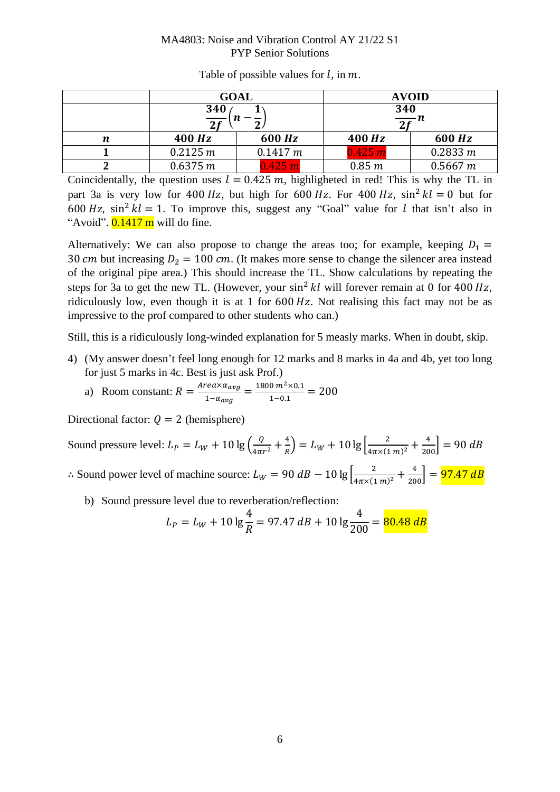## MA4803: Noise and Vibration Control AY 21/22 S1 PYP Senior Solutions

|   | <b>GOAL</b>       |          | <b>AVOID</b>     |          |
|---|-------------------|----------|------------------|----------|
|   | 340               |          | 340              |          |
|   | $\frac{1}{2f}(n)$ |          | $\frac{1}{2f}$ n |          |
| n | 400 Hz            | 600 Hz   | 400 Hz           | 600 Hz   |
|   | 0.2125 m          | 0.1417 m | 0.425 m          | 0.2833 m |
|   | 0.6375 m          | 0.425 m  | 0.85 m           | 0.5667 m |

Table of possible values for  $l$ , in  $m$ .

Coincidentally, the question uses  $l = 0.425$  m, highligheted in red! This is why the TL in part 3a is very low for 400 Hz, but high for 600 Hz. For 400 Hz,  $\sin^2 kl = 0$  but for 600 Hz,  $\sin^2 kl = 1$ . To improve this, suggest any "Goal" value for *l* that isn't also in "Avoid".  $0.1417$  m will do fine.

Alternatively: We can also propose to change the areas too; for example, keeping  $D_1 =$ 30 cm but increasing  $D_2 = 100$  cm. (It makes more sense to change the silencer area instead of the original pipe area.) This should increase the TL. Show calculations by repeating the steps for 3a to get the new TL. (However, your  $\sin^2 kl$  will forever remain at 0 for 400 Hz, ridiculously low, even though it is at 1 for  $600\,Hz$ . Not realising this fact may not be as impressive to the prof compared to other students who can.)

Still, this is a ridiculously long-winded explanation for 5 measly marks. When in doubt, skip.

- 4) (My answer doesn't feel long enough for 12 marks and 8 marks in 4a and 4b, yet too long for just 5 marks in 4c. Best is just ask Prof.)
	- a) Room constant:  $R = \frac{Area \times a_{avg}}{1 x}$  $\frac{rea \times a_{avg}}{1 - a_{avg}} = \frac{1800 \, m^2 \times 0.1}{1 - 0.1}$  $\frac{6 m \times 6.1}{1 - 0.1} = 200$

Directional factor:  $Q = 2$  (hemisphere)

Sound pressure level:  $L_p = L_W + 10 \lg \left( \frac{Q}{4\pi i} \right)$  $\frac{Q}{4\pi r^2} + \frac{4}{R}$  $\left(\frac{4}{R}\right) = L_W + 10 \lg \left[\frac{2}{4\pi \times (1 \, m)^2} + \frac{4}{200}\right] = 90 \, dB$ 

∴ Sound power level of machine source:  $L_W = 90 dB - 10 \lg \left[ \frac{2}{4\pi \times (1 \, m)^2} + \frac{4}{200} \right] = 97.47 dB$ 

b) Sound pressure level due to reverberation/reflection:

$$
L_P = L_W + 10 \lg \frac{4}{R} = 97.47 \, dB + 10 \lg \frac{4}{200} = 80.48 \, dB
$$